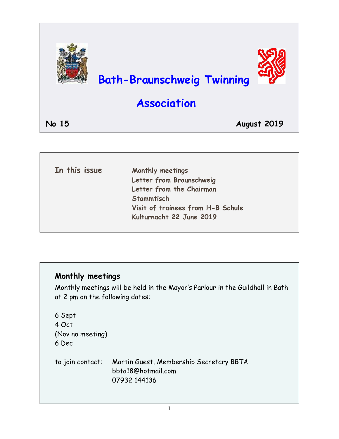

| In this issue | Monthly meetings                  |
|---------------|-----------------------------------|
|               | Letter from Braunschweig          |
|               | Letter from the Chairman          |
|               | Stammtisch                        |
|               | Visit of trainees from H-B Schule |
|               | Kulturnacht 22 June 2019          |

### **Monthly meetings**

Monthly meetings will be held in the Mayor's Parlour in the Guildhall in Bath at 2 pm on the following dates:

6 Sept 4 Oct (Nov no meeting) 6 Dec to join contact: Martin Guest, Membership Secretary BBTA bbta18@hotmail.com 07932 144136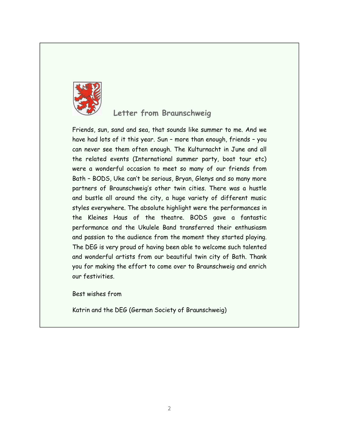

#### **Letter from Braunschweig**

Friends, sun, sand and sea, that sounds like summer to me. And we have had lots of it this year. Sun – more than enough, friends – you can never see them often enough. The Kulturnacht in June and all the related events (International summer party, boat tour etc) were a wonderful occasion to meet so many of our friends from Bath – BODS, Uke can't be serious, Bryan, Glenys and so many more partners of Braunschweig's other twin cities. There was a hustle and bustle all around the city, a huge variety of different music styles everywhere. The absolute highlight were the performances in the Kleines Haus of the theatre. BODS gave a fantastic performance and the Ukulele Band transferred their enthusiasm and passion to the audience from the moment they started playing. The DEG is very proud of having been able to welcome such talented and wonderful artists from our beautiful twin city of Bath. Thank you for making the effort to come over to Braunschweig and enrich our festivities.

Best wishes from

Katrin and the DEG (German Society of Braunschweig)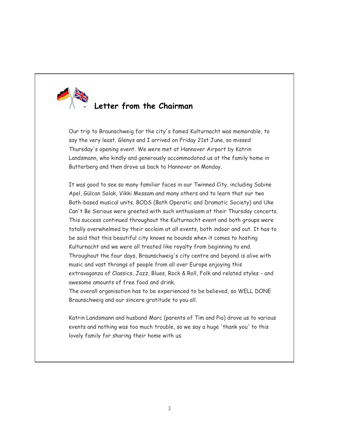

## **Letter from the Chairman**

Our trip to Braunschweig for the city's famed Kulturnacht was memorable, to say the very least. Glenys and I arrived on Friday 21st June, so missed Thursday's opening event. We were met at Hannover Airport by Katrin Landsmann, who kindly and generously accommodated us at the family home in Butterberg and then drove us back to Hannover on Monday.

It was good to see so many familiar faces in our Twinned City, including Sabine Apel, Gülcan Solak, Vikki Messam and many others and to learn that our two Bath-based musical units, BODS (Bath Operatic and Dramatic Society) and Uke Can't Be Serious were greeted with such enthusiasm at their Thursday concerts. This success continued throughout the Kulturnacht event and both groups were totally overwhelmed by their acclaim at all events, both indoor and out. It has to be said that this beautiful city knows no bounds when it comes to hosting Kulturnacht and we were all treated like royalty from beginning to end. Throughout the four days, Braunschweig's city centre and beyond is alive with music and vast throngs of people from all over Europe enjoying this extravaganza of Classics, Jazz, Blues, Rock & Roll, Folk and related styles - and awesome amounts of free food and drink.

The overall organisation has to be experienced to be believed, so WELL DONE Braunschweig and our sincere gratitude to you all.

Katrin Landsmann and husband Marc (parents of Tim and Pia) drove us to various events and nothing was too much trouble, so we say a huge 'thank you' to this lovely family for sharing their home with us.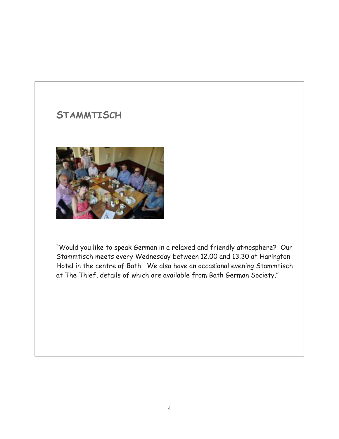# **STAMMTISCH**



"Would you like to speak German in a relaxed and friendly atmosphere? Our Stammtisch meets every Wednesday between 12.00 and 13.30 at Harington Hotel in the centre of Bath. We also have an occasional evening Stammtisch at The Thief, details of which are available from Bath German Society."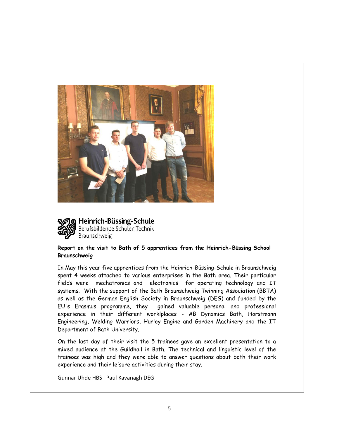



Heinrich-Büssing-Schule Berufsbildende Schulen Technik Braunschweig

#### **Report on the visit to Bath of 5 apprentices from the Heinrich-Büssing School Braunschweig**

In May this year five apprentices from the Heinrich-Büssing-Schule in Braunschweig spent 4 weeks attached to various enterprises in the Bath area. Their particular fields were mechatronics and electronics for operating technology and IT systems. With the support of the Bath Braunschweig Twinning Association (BBTA) as well as the German English Society in Braunschweig (DEG) and funded by the EU's Erasmus programme, they gained valuable personal and professional experience in their different worklplaces - AB Dynamics Bath, Horstmann Engineering, Welding Warriors, Hurley Engine and Garden Machinery and the IT Department of Bath University.

On the last day of their visit the 5 trainees gave an excellent presentation to a mixed audience at the Guildhall in Bath. The technical and linguistic level of the trainees was high and they were able to answer questions about both their work experience and their leisure activities during their stay.

Gunnar Uhde HBS Paul Kavanagh DEG